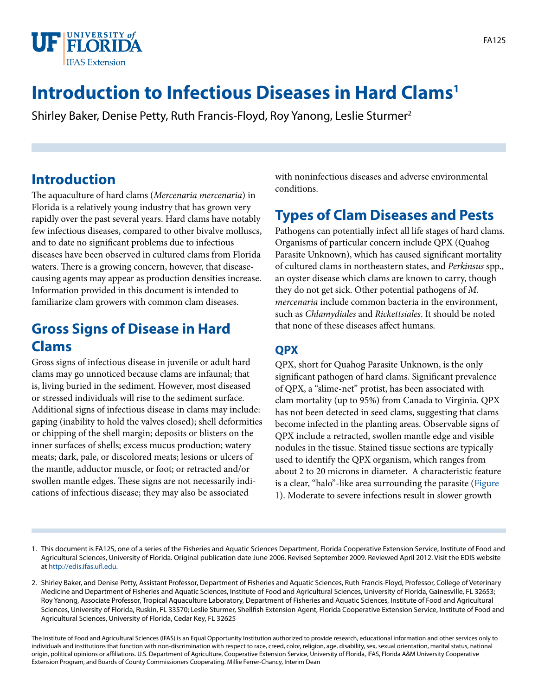

# **Introduction to Infectious Diseases in Hard Clams1**

Shirley Baker, Denise Petty, Ruth Francis-Floyd, Roy Yanong, Leslie Sturmer2

### **Introduction**

The aquaculture of hard clams (*Mercenaria mercenaria*) in Florida is a relatively young industry that has grown very rapidly over the past several years. Hard clams have notably few infectious diseases, compared to other bivalve molluscs, and to date no significant problems due to infectious diseases have been observed in cultured clams from Florida waters. There is a growing concern, however, that diseasecausing agents may appear as production densities increase. Information provided in this document is intended to familiarize clam growers with common clam diseases.

### **Gross Signs of Disease in Hard Clams**

Gross signs of infectious disease in juvenile or adult hard clams may go unnoticed because clams are infaunal; that is, living buried in the sediment. However, most diseased or stressed individuals will rise to the sediment surface. Additional signs of infectious disease in clams may include: gaping (inability to hold the valves closed); shell deformities or chipping of the shell margin; deposits or blisters on the inner surfaces of shells; excess mucus production; watery meats; dark, pale, or discolored meats; lesions or ulcers of the mantle, adductor muscle, or foot; or retracted and/or swollen mantle edges. These signs are not necessarily indications of infectious disease; they may also be associated

with noninfectious diseases and adverse environmental conditions.

## **Types of Clam Diseases and Pests**

Pathogens can potentially infect all life stages of hard clams. Organisms of particular concern include QPX (Quahog Parasite Unknown), which has caused significant mortality of cultured clams in northeastern states, and *Perkinsus* spp., an oyster disease which clams are known to carry, though they do not get sick. Other potential pathogens of *M. mercenaria* include common bacteria in the environment, such as *Chlamydiales* and *Rickettsiales*. It should be noted that none of these diseases affect humans.

### **QPX**

QPX, short for Quahog Parasite Unknown, is the only significant pathogen of hard clams. Significant prevalence of QPX, a "slime-net" protist, has been associated with clam mortality (up to 95%) from Canada to Virginia. QPX has not been detected in seed clams, suggesting that clams become infected in the planting areas. Observable signs of QPX include a retracted, swollen mantle edge and visible nodules in the tissue. Stained tissue sections are typically used to identify the QPX organism, which ranges from about 2 to 20 microns in diameter. A characteristic feature is a clear, "halo"-like area surrounding the parasite ([Figure](FIGURE_1)  [1](FIGURE_1)). Moderate to severe infections result in slower growth

- 1. This document is FA125, one of a series of the Fisheries and Aquatic Sciences Department, Florida Cooperative Extension Service, Institute of Food and Agricultural Sciences, University of Florida. Original publication date June 2006. Revised September 2009. Reviewed April 2012. Visit the EDIS website at<http://edis.ifas.ufl.edu>.
- 2. Shirley Baker, and Denise Petty, Assistant Professor, Department of Fisheries and Aquatic Sciences, Ruth Francis-Floyd, Professor, College of Veterinary Medicine and Department of Fisheries and Aquatic Sciences, Institute of Food and Agricultural Sciences, University of Florida, Gainesville, FL 32653; Roy Yanong, Associate Professor, Tropical Aquaculture Laboratory, Department of Fisheries and Aquatic Sciences, Institute of Food and Agricultural Sciences, University of Florida, Ruskin, FL 33570; Leslie Sturmer, Shellfish Extension Agent, Florida Cooperative Extension Service, Institute of Food and Agricultural Sciences, University of Florida, Cedar Key, FL 32625

The Institute of Food and Agricultural Sciences (IFAS) is an Equal Opportunity Institution authorized to provide research, educational information and other services only to individuals and institutions that function with non-discrimination with respect to race, creed, color, religion, age, disability, sex, sexual orientation, marital status, national origin, political opinions or affiliations. U.S. Department of Agriculture, Cooperative Extension Service, University of Florida, IFAS, Florida A&M University Cooperative Extension Program, and Boards of County Commissioners Cooperating. Millie Ferrer-Chancy, Interim Dean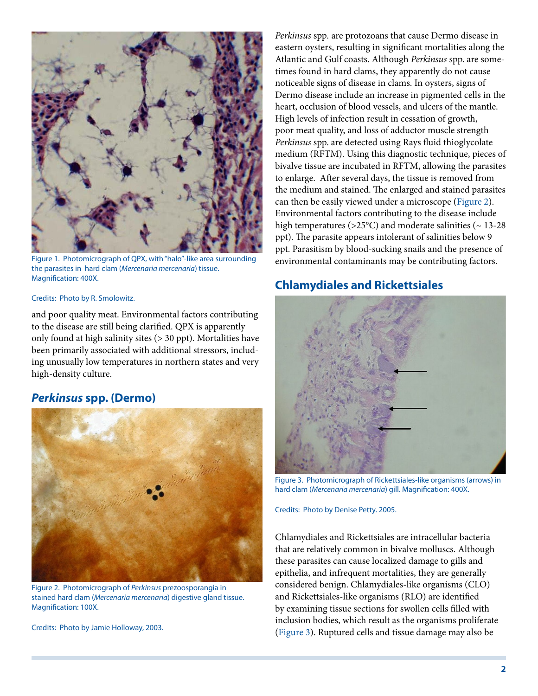

Figure 1. Photomicrograph of QPX, with "halo"-like area surrounding the parasites in hard clam (*Mercenaria mercenaria*) tissue. Magnification: 400X.

#### Credits: Photo by R. Smolowitz.

and poor quality meat. Environmental factors contributing to the disease are still being clarified. QPX is apparently only found at high salinity sites (> 30 ppt). Mortalities have been primarily associated with additional stressors, including unusually low temperatures in northern states and very high-density culture.

#### *Perkinsus* **spp. (Dermo)**



Figure 2. Photomicrograph of *Perkinsus* prezoosporangia in stained hard clam (*Mercenaria mercenaria*) digestive gland tissue. Magnification: 100X.

Credits: Photo by Jamie Holloway, 2003.

*Perkinsus* spp*.* are protozoans that cause Dermo disease in eastern oysters, resulting in significant mortalities along the Atlantic and Gulf coasts. Although *Perkinsus* spp. are sometimes found in hard clams, they apparently do not cause noticeable signs of disease in clams. In oysters, signs of Dermo disease include an increase in pigmented cells in the heart, occlusion of blood vessels, and ulcers of the mantle. High levels of infection result in cessation of growth, poor meat quality, and loss of adductor muscle strength *Perkinsus* spp. are detected using Rays fluid thioglycolate medium (RFTM). Using this diagnostic technique, pieces of bivalve tissue are incubated in RFTM, allowing the parasites to enlarge. After several days, the tissue is removed from the medium and stained. The enlarged and stained parasites can then be easily viewed under a microscope [\(Figure 2](FIGURE_2)). Environmental factors contributing to the disease include high temperatures ( $>25^{\circ}$ C) and moderate salinities ( $\sim 13-28$ ppt). The parasite appears intolerant of salinities below 9 ppt. Parasitism by blood-sucking snails and the presence of environmental contaminants may be contributing factors.

#### **Chlamydiales and Rickettsiales**



Figure 3. Photomicrograph of Rickettsiales-like organisms (arrows) in hard clam (*Mercenaria mercenaria*) gill. Magnification: 400X.

Credits: Photo by Denise Petty. 2005.

Chlamydiales and Rickettsiales are intracellular bacteria that are relatively common in bivalve molluscs. Although these parasites can cause localized damage to gills and epithelia, and infrequent mortalities, they are generally considered benign. Chlamydiales-like organisms (CLO) and Rickettsiales-like organisms (RLO) are identified by examining tissue sections for swollen cells filled with inclusion bodies, which result as the organisms proliferate [\(Figure 3](FIGURE_3)). Ruptured cells and tissue damage may also be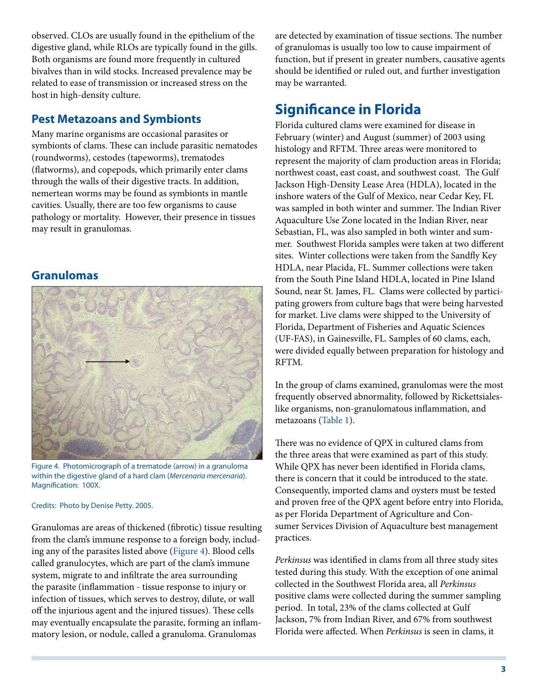observed. CLOs are usually found in the epithelium of the digestive gland, while RLOs are typically found in the gills. Both organisms are found more frequently in cultured bivalves than in wild stocks. Increased prevalence may be related to ease of transmission or increased stress on the host in high-density culture.

### **Pest Metazoans and Symbionts**

Many marine organisms are occasional parasites or symbionts of clams. These can include parasitic nematodes (roundworms), cestodes (tapeworms), trematodes (flatworms), and copepods, which primarily enter clams through the walls of their digestive tracts. In addition, nemertean worms may be found as symbionts in mantle cavities. Usually, there are too few organisms to cause pathology or mortality. However, their presence in tissues may result in granulomas.

### **Granulomas**



Figure 4. Photomicrograph of a trematode (arrow) in a granuloma within the digestive gland of a hard clam (*Mercenaria mercenaria*). Magnification: 100X.

#### Credits: Photo by Denise Petty. 2005.

Granulomas are areas of thickened (fibrotic) tissue resulting from the clam's immune response to a foreign body, including any of the parasites listed above ([Figure 4\)](FIGURE_4). Blood cells called granulocytes, which are part of the clam's immune system, migrate to and infiltrate the area surrounding the parasite (inflammation - tissue response to injury or infection of tissues, which serves to destroy, dilute, or wall off the injurious agent and the injured tissues). These cells may eventually encapsulate the parasite, forming an inflammatory lesion, or nodule, called a granuloma. Granulomas

are detected by examination of tissue sections. The number of granulomas is usually too low to cause impairment of function, but if present in greater numbers, causative agents should be identified or ruled out, and further investigation may be warranted.

## **Significance in Florida**

Florida cultured clams were examined for disease in February (winter) and August (summer) of 2003 using histology and RFTM. Three areas were monitored to represent the majority of clam production areas in Florida; northwest coast, east coast, and southwest coast. The Gulf Jackson High-Density Lease Area (HDLA), located in the inshore waters of the Gulf of Mexico, near Cedar Key, FL was sampled in both winter and summer. The Indian River Aquaculture Use Zone located in the Indian River, near Sebastian, FL, was also sampled in both winter and summer. Southwest Florida samples were taken at two different sites. Winter collections were taken from the Sandfly Key HDLA, near Placida, FL. Summer collections were taken from the South Pine Island HDLA, located in Pine Island Sound, near St. James, FL. Clams were collected by participating growers from culture bags that were being harvested for market. Live clams were shipped to the University of Florida, Department of Fisheries and Aquatic Sciences (UF-FAS), in Gainesville, FL. Samples of 60 clams, each, were divided equally between preparation for histology and RFTM.

In the group of clams examined, granulomas were the most frequently observed abnormality, followed by Rickettsialeslike organisms, non-granulomatous inflammation, and metazoans [\(Table 1\)](TABLE_1_DOCUMENT_FA125).

There was no evidence of QPX in cultured clams from the three areas that were examined as part of this study. While QPX has never been identified in Florida clams, there is concern that it could be introduced to the state. Consequently, imported clams and oysters must be tested and proven free of the QPX agent before entry into Florida, as per Florida Department of Agriculture and Consumer Services Division of Aquaculture best management practices.

*Perkinsus* was identified in clams from all three study sites tested during this study. With the exception of one animal collected in the Southwest Florida area, all *Perkinsus* positive clams were collected during the summer sampling period. In total, 23% of the clams collected at Gulf Jackson, 7% from Indian River, and 67% from southwest Florida were affected. When *Perkinsus* is seen in clams, it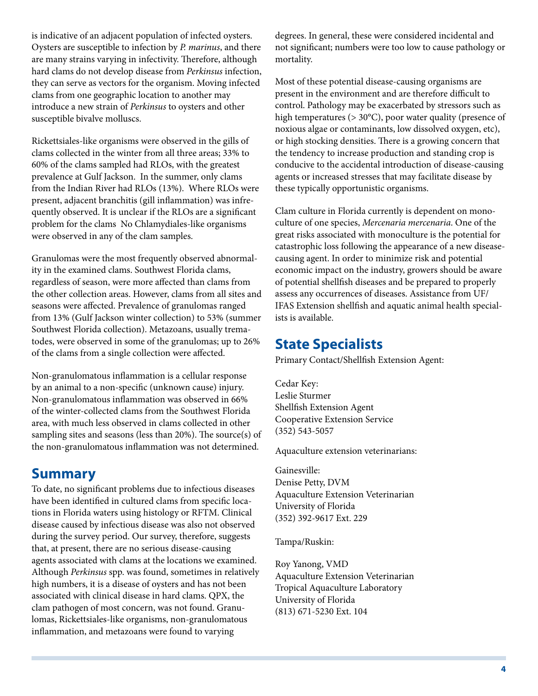is indicative of an adjacent population of infected oysters. Oysters are susceptible to infection by *P. marinus*, and there are many strains varying in infectivity. Therefore, although hard clams do not develop disease from *Perkinsus* infection, they can serve as vectors for the organism. Moving infected clams from one geographic location to another may introduce a new strain of *Perkinsus* to oysters and other susceptible bivalve molluscs.

Rickettsiales-like organisms were observed in the gills of clams collected in the winter from all three areas; 33% to 60% of the clams sampled had RLOs, with the greatest prevalence at Gulf Jackson. In the summer, only clams from the Indian River had RLOs (13%). Where RLOs were present, adjacent branchitis (gill inflammation) was infrequently observed. It is unclear if the RLOs are a significant problem for the clams No Chlamydiales-like organisms were observed in any of the clam samples.

Granulomas were the most frequently observed abnormality in the examined clams. Southwest Florida clams, regardless of season, were more affected than clams from the other collection areas. However, clams from all sites and seasons were affected. Prevalence of granulomas ranged from 13% (Gulf Jackson winter collection) to 53% (summer Southwest Florida collection). Metazoans, usually trematodes, were observed in some of the granulomas; up to 26% of the clams from a single collection were affected.

Non-granulomatous inflammation is a cellular response by an animal to a non-specific (unknown cause) injury. Non-granulomatous inflammation was observed in 66% of the winter-collected clams from the Southwest Florida area, with much less observed in clams collected in other sampling sites and seasons (less than 20%). The source(s) of the non-granulomatous inflammation was not determined.

### **Summary**

To date, no significant problems due to infectious diseases have been identified in cultured clams from specific locations in Florida waters using histology or RFTM. Clinical disease caused by infectious disease was also not observed during the survey period. Our survey, therefore, suggests that, at present, there are no serious disease-causing agents associated with clams at the locations we examined. Although *Perkinsus* spp. was found, sometimes in relatively high numbers, it is a disease of oysters and has not been associated with clinical disease in hard clams. QPX, the clam pathogen of most concern, was not found. Granulomas, Rickettsiales-like organisms, non-granulomatous inflammation, and metazoans were found to varying

degrees. In general, these were considered incidental and not significant; numbers were too low to cause pathology or mortality.

Most of these potential disease-causing organisms are present in the environment and are therefore difficult to control. Pathology may be exacerbated by stressors such as high temperatures (> 30°C), poor water quality (presence of noxious algae or contaminants, low dissolved oxygen, etc), or high stocking densities. There is a growing concern that the tendency to increase production and standing crop is conducive to the accidental introduction of disease-causing agents or increased stresses that may facilitate disease by these typically opportunistic organisms.

Clam culture in Florida currently is dependent on monoculture of one species, *Mercenaria mercenaria*. One of the great risks associated with monoculture is the potential for catastrophic loss following the appearance of a new diseasecausing agent. In order to minimize risk and potential economic impact on the industry, growers should be aware of potential shellfish diseases and be prepared to properly assess any occurrences of diseases. Assistance from UF/ IFAS Extension shellfish and aquatic animal health specialists is available.

### **State Specialists**

Primary Contact/Shellfish Extension Agent:

Cedar Key: Leslie Sturmer Shellfish Extension Agent Cooperative Extension Service (352) 543-5057

Aquaculture extension veterinarians:

Gainesville: Denise Petty, DVM Aquaculture Extension Veterinarian University of Florida (352) 392-9617 Ext. 229

Tampa/Ruskin:

Roy Yanong, VMD Aquaculture Extension Veterinarian Tropical Aquaculture Laboratory University of Florida (813) 671-5230 Ext. 104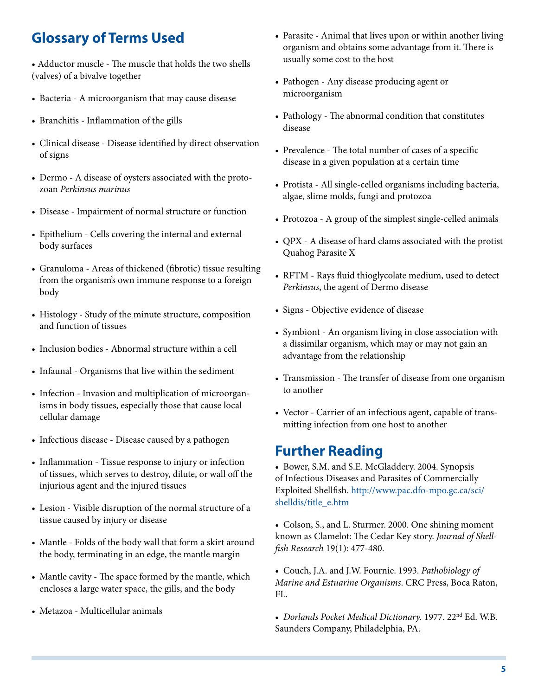## **Glossary of Terms Used**

• Adductor muscle - The muscle that holds the two shells (valves) of a bivalve together

- Bacteria A microorganism that may cause disease
- Branchitis Inflammation of the gills
- Clinical disease Disease identified by direct observation of signs
- Dermo A disease of oysters associated with the protozoan *Perkinsus marinus*
- Disease Impairment of normal structure or function
- Epithelium Cells covering the internal and external body surfaces
- Granuloma Areas of thickened (fibrotic) tissue resulting from the organism's own immune response to a foreign body
- Histology Study of the minute structure, composition and function of tissues
- Inclusion bodies Abnormal structure within a cell
- Infaunal Organisms that live within the sediment
- Infection Invasion and multiplication of microorganisms in body tissues, especially those that cause local cellular damage
- Infectious disease Disease caused by a pathogen
- Inflammation Tissue response to injury or infection of tissues, which serves to destroy, dilute, or wall off the injurious agent and the injured tissues
- Lesion Visible disruption of the normal structure of a tissue caused by injury or disease
- Mantle Folds of the body wall that form a skirt around the body, terminating in an edge, the mantle margin
- Mantle cavity The space formed by the mantle, which encloses a large water space, the gills, and the body
- Metazoa Multicellular animals
- Parasite Animal that lives upon or within another living organism and obtains some advantage from it. There is usually some cost to the host
- Pathogen Any disease producing agent or microorganism
- Pathology The abnormal condition that constitutes disease
- Prevalence The total number of cases of a specific disease in a given population at a certain time
- Protista All single-celled organisms including bacteria, algae, slime molds, fungi and protozoa
- Protozoa A group of the simplest single-celled animals
- QPX A disease of hard clams associated with the protist Quahog Parasite X
- RFTM Rays fluid thioglycolate medium, used to detect *Perkinsus*, the agent of Dermo disease
- Signs Objective evidence of disease
- Symbiont An organism living in close association with a dissimilar organism, which may or may not gain an advantage from the relationship
- Transmission The transfer of disease from one organism to another
- Vector Carrier of an infectious agent, capable of transmitting infection from one host to another

### **Further Reading**

• Bower, S.M. and S.E. McGladdery. 2004. Synopsis of Infectious Diseases and Parasites of Commercially Exploited Shellfish. [http://www.pac.dfo-mpo.gc.ca/sci/](http://www.pac.dfo-mpo.gc.ca/sci/shelldis/title_e.htm) [shelldis/title\\_e.htm](http://www.pac.dfo-mpo.gc.ca/sci/shelldis/title_e.htm)

• Colson, S., and L. Sturmer. 2000. One shining moment known as Clamelot: The Cedar Key story. *Journal of Shellfish Research* 19(1): 477-480.

• Couch, J.A. and J.W. Fournie. 1993. *Pathobiology of Marine and Estuarine Organisms*. CRC Press, Boca Raton, FL.

• *Dorlands Pocket Medical Dictionary.* 1977. 22nd Ed. W.B. Saunders Company, Philadelphia, PA.